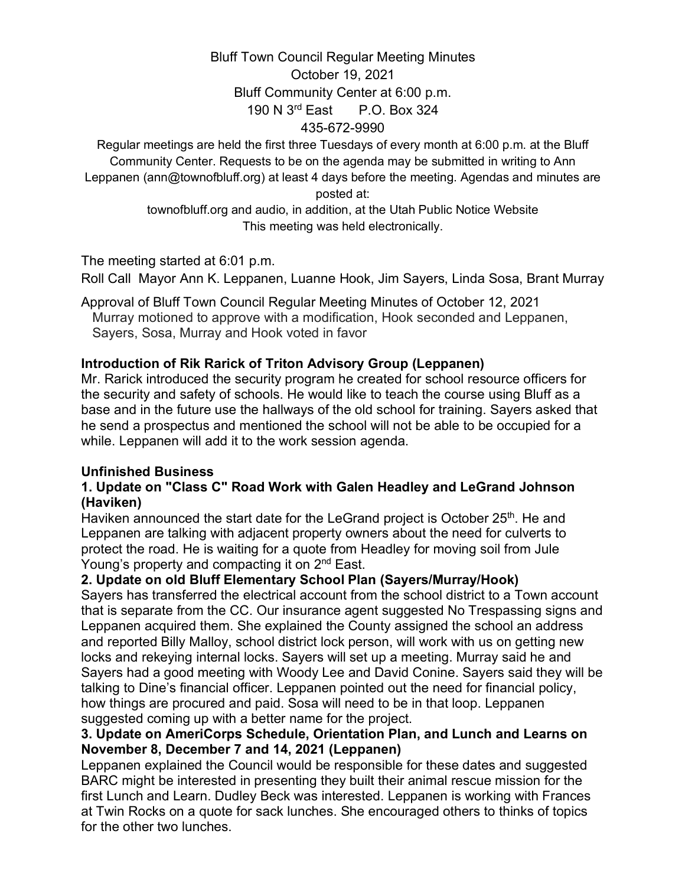# Bluff Town Council Regular Meeting Minutes October 19, 2021 Bluff Community Center at 6:00 p.m. 190 N 3rd East P.O. Box 324 435-672-9990

Regular meetings are held the first three Tuesdays of every month at 6:00 p.m. at the Bluff Community Center. Requests to be on the agenda may be submitted in writing to Ann Leppanen (ann@townofbluff.org) at least 4 days before the meeting. Agendas and minutes are posted at:

> townofbluff.org and audio, in addition, at the Utah Public Notice Website This meeting was held electronically.

The meeting started at 6:01 p.m.

Roll Call Mayor Ann K. Leppanen, Luanne Hook, Jim Sayers, Linda Sosa, Brant Murray

Approval of Bluff Town Council Regular Meeting Minutes of October 12, 2021 Murray motioned to approve with a modification, Hook seconded and Leppanen, Sayers, Sosa, Murray and Hook voted in favor

# **Introduction of Rik Rarick of Triton Advisory Group (Leppanen)**

Mr. Rarick introduced the security program he created for school resource officers for the security and safety of schools. He would like to teach the course using Bluff as a base and in the future use the hallways of the old school for training. Sayers asked that he send a prospectus and mentioned the school will not be able to be occupied for a while. Leppanen will add it to the work session agenda.

# **Unfinished Business**

### **1. Update on "Class C" Road Work with Galen Headley and LeGrand Johnson (Haviken)**

Haviken announced the start date for the LeGrand project is October 25<sup>th</sup>. He and Leppanen are talking with adjacent property owners about the need for culverts to protect the road. He is waiting for a quote from Headley for moving soil from Jule Young's property and compacting it on 2<sup>nd</sup> East.

# **2. Update on old Bluff Elementary School Plan (Sayers/Murray/Hook)**

Sayers has transferred the electrical account from the school district to a Town account that is separate from the CC. Our insurance agent suggested No Trespassing signs and Leppanen acquired them. She explained the County assigned the school an address and reported Billy Malloy, school district lock person, will work with us on getting new locks and rekeying internal locks. Sayers will set up a meeting. Murray said he and Sayers had a good meeting with Woody Lee and David Conine. Sayers said they will be talking to Dine's financial officer. Leppanen pointed out the need for financial policy, how things are procured and paid. Sosa will need to be in that loop. Leppanen suggested coming up with a better name for the project.

#### **3. Update on AmeriCorps Schedule, Orientation Plan, and Lunch and Learns on November 8, December 7 and 14, 2021 (Leppanen)**

Leppanen explained the Council would be responsible for these dates and suggested BARC might be interested in presenting they built their animal rescue mission for the first Lunch and Learn. Dudley Beck was interested. Leppanen is working with Frances at Twin Rocks on a quote for sack lunches. She encouraged others to thinks of topics for the other two lunches.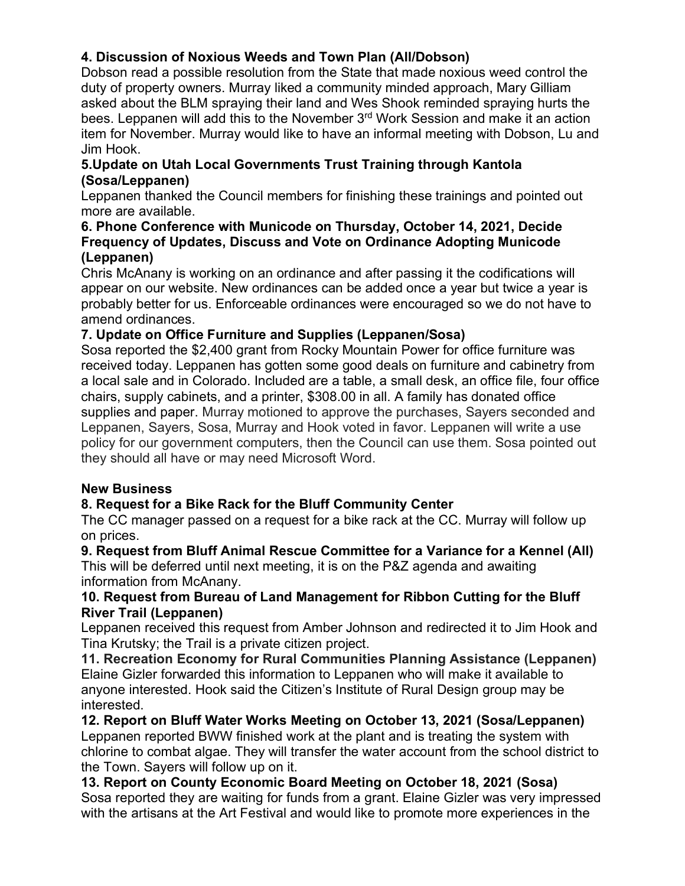# **4. Discussion of Noxious Weeds and Town Plan (All/Dobson)**

Dobson read a possible resolution from the State that made noxious weed control the duty of property owners. Murray liked a community minded approach, Mary Gilliam asked about the BLM spraying their land and Wes Shook reminded spraying hurts the bees. Leppanen will add this to the November 3<sup>rd</sup> Work Session and make it an action item for November. Murray would like to have an informal meeting with Dobson, Lu and Jim Hook.

### **5.Update on Utah Local Governments Trust Training through Kantola (Sosa/Leppanen)**

Leppanen thanked the Council members for finishing these trainings and pointed out more are available.

#### **6. Phone Conference with Municode on Thursday, October 14, 2021, Decide Frequency of Updates, Discuss and Vote on Ordinance Adopting Municode (Leppanen)**

Chris McAnany is working on an ordinance and after passing it the codifications will appear on our website. New ordinances can be added once a year but twice a year is probably better for us. Enforceable ordinances were encouraged so we do not have to amend ordinances.

# **7. Update on Office Furniture and Supplies (Leppanen/Sosa)**

Sosa reported the \$2,400 grant from Rocky Mountain Power for office furniture was received today. Leppanen has gotten some good deals on furniture and cabinetry from a local sale and in Colorado. Included are a table, a small desk, an office file, four office chairs, supply cabinets, and a printer, \$308.00 in all. A family has donated office supplies and paper. Murray motioned to approve the purchases, Sayers seconded and Leppanen, Sayers, Sosa, Murray and Hook voted in favor. Leppanen will write a use policy for our government computers, then the Council can use them. Sosa pointed out they should all have or may need Microsoft Word.

# **New Business**

# **8. Request for a Bike Rack for the Bluff Community Center**

The CC manager passed on a request for a bike rack at the CC. Murray will follow up on prices.

# **9. Request from Bluff Animal Rescue Committee for a Variance for a Kennel (All)**

This will be deferred until next meeting, it is on the P&Z agenda and awaiting information from McAnany.

# **10. Request from Bureau of Land Management for Ribbon Cutting for the Bluff River Trail (Leppanen)**

Leppanen received this request from Amber Johnson and redirected it to Jim Hook and Tina Krutsky; the Trail is a private citizen project.

**11. Recreation Economy for Rural Communities Planning Assistance (Leppanen)** Elaine Gizler forwarded this information to Leppanen who will make it available to anyone interested. Hook said the Citizen's Institute of Rural Design group may be interested.

**12. Report on Bluff Water Works Meeting on October 13, 2021 (Sosa/Leppanen)** Leppanen reported BWW finished work at the plant and is treating the system with chlorine to combat algae. They will transfer the water account from the school district to the Town. Sayers will follow up on it.

### **13. Report on County Economic Board Meeting on October 18, 2021 (Sosa)** Sosa reported they are waiting for funds from a grant. Elaine Gizler was very impressed with the artisans at the Art Festival and would like to promote more experiences in the